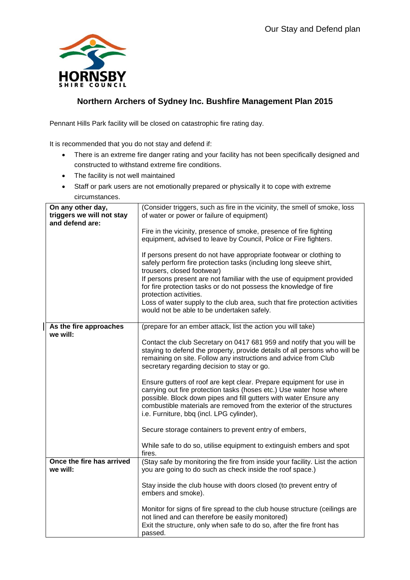

## **Northern Archers of Sydney Inc. Bushfire Management Plan 2015**

Pennant Hills Park facility will be closed on catastrophic fire rating day.

It is recommended that you do not stay and defend if:

- There is an extreme fire danger rating and your facility has not been specifically designed and constructed to withstand extreme fire conditions.
- The facility is not well maintained
- Staff or park users are not emotionally prepared or physically it to cope with extreme circumstances.

| triggers we will not stay<br>and defend are: | of water or power or failure of equipment)                                                                                                                                                                                                                                                                                             |
|----------------------------------------------|----------------------------------------------------------------------------------------------------------------------------------------------------------------------------------------------------------------------------------------------------------------------------------------------------------------------------------------|
|                                              |                                                                                                                                                                                                                                                                                                                                        |
|                                              | Fire in the vicinity, presence of smoke, presence of fire fighting<br>equipment, advised to leave by Council, Police or Fire fighters.                                                                                                                                                                                                 |
|                                              | If persons present do not have appropriate footwear or clothing to<br>safely perform fire protection tasks (including long sleeve shirt,<br>trousers, closed footwear)<br>If persons present are not familiar with the use of equipment provided                                                                                       |
|                                              | for fire protection tasks or do not possess the knowledge of fire<br>protection activities.                                                                                                                                                                                                                                            |
|                                              | Loss of water supply to the club area, such that fire protection activities<br>would not be able to be undertaken safely.                                                                                                                                                                                                              |
| As the fire approaches<br>we will:           | (prepare for an ember attack, list the action you will take)                                                                                                                                                                                                                                                                           |
|                                              | Contact the club Secretary on 0417 681 959 and notify that you will be<br>staying to defend the property, provide details of all persons who will be<br>remaining on site. Follow any instructions and advice from Club<br>secretary regarding decision to stay or go.                                                                 |
|                                              | Ensure gutters of roof are kept clear. Prepare equipment for use in<br>carrying out fire protection tasks (hoses etc.) Use water hose where<br>possible. Block down pipes and fill gutters with water Ensure any<br>combustible materials are removed from the exterior of the structures<br>i.e. Furniture, bbq (incl. LPG cylinder), |
|                                              | Secure storage containers to prevent entry of embers,                                                                                                                                                                                                                                                                                  |
| fires.                                       | While safe to do so, utilise equipment to extinguish embers and spot                                                                                                                                                                                                                                                                   |
| Once the fire has arrived<br>we will:        | (Stay safe by monitoring the fire from inside your facility. List the action<br>you are going to do such as check inside the roof space.)                                                                                                                                                                                              |
|                                              | Stay inside the club house with doors closed (to prevent entry of<br>embers and smoke).                                                                                                                                                                                                                                                |
|                                              | Monitor for signs of fire spread to the club house structure (ceilings are<br>not lined and can therefore be easily monitored)<br>Exit the structure, only when safe to do so, after the fire front has<br>passed.                                                                                                                     |